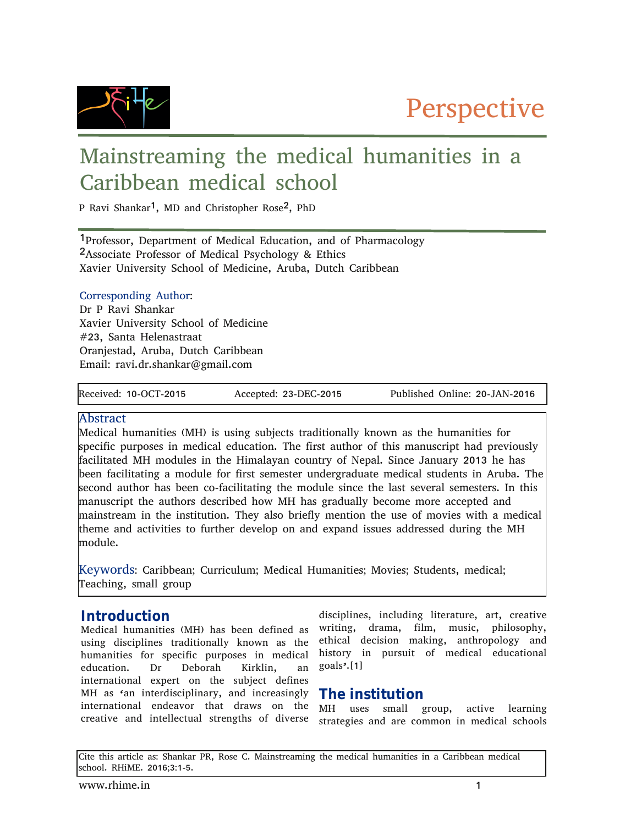

# Mainstreaming the medical humanities in a Caribbean medical school

P Ravi Shankar<sup>1</sup>, MD and Christopher Rose<sup>2</sup>, PhD

1Professor, Department of Medical Education, and of Pharmacology 2Associate Professor of Medical Psychology & Ethics Xavier University School of Medicine, Aruba, Dutch Caribbean

#### Corresponding Author:

Dr P Ravi Shankar Xavier University School of Medicine #23, Santa Helenastraat Oranjestad, Aruba, Dutch Caribbean Email: ravi.dr.shankar@gmail.com

Received: 10-OCT-2015 Accepted: 23-DEC-2015 Published Online: 20-JAN-2016

#### **Abstract**

Medical humanities (MH) is using subjects traditionally known as the humanities for specific purposes in medical education. The first author of this manuscript had previously facilitated MH modules in the Himalayan country of Nepal. Since January 2013 he has been facilitating a module for first semester undergraduate medical students in Aruba. The second author has been co-facilitating the module since the last several semesters. In this manuscript the authors described how MH has gradually become more accepted and mainstream in the institution. They also briefly mention the use of movies with a medical theme and activities to further develop on and expand issues addressed during the MH module.

Keywords: Caribbean; Curriculum; Medical Humanities; Movies; Students, medical; Teaching, small group

#### **Introduction**

Medical humanities (MH) has been defined as using disciplines traditionally known as the humanities for specific purposes in medical education. Dr Deborah Kirklin, an international expert on the subject defines MH as 'an interdisciplinary, and increasingly international endeavor that draws on the creative and intellectual strengths of diverse

disciplines, including literature, art, creative writing, drama, film, music, philosophy, ethical decision making, anthropology and history in pursuit of medical educational goals'.[1]

#### **The institution**

MH uses small group, active learning strategies and are common in medical schools

Cite this article as: Shankar PR, Rose C. Mainstreaming the medical humanities in a Caribbean medical school. RHiME. 2016;3:1-5.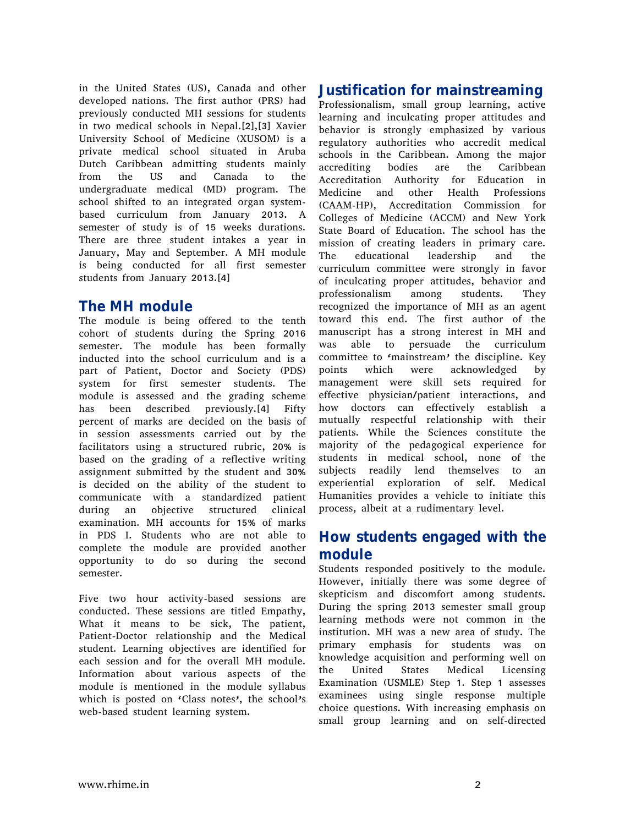in the United States (US), Canada and other developed nations. The first author (PRS) had previously conducted MH sessions for students in two medical schools in Nepal.[2],[3] Xavier University School of Medicine (XUSOM) is a private medical school situated in Aruba Dutch Caribbean admitting students mainly from the US and Canada to the undergraduate medical (MD) program. The school shifted to an integrated organ systembased curriculum from January 2013. A semester of study is of 15 weeks durations. There are three student intakes a year in January, May and September. A MH module is being conducted for all first semester students from January 2013.[4]

#### **The MH module**

The module is being offered to the tenth cohort of students during the Spring 2016 semester. The module has been formally inducted into the school curriculum and is a part of Patient, Doctor and Society (PDS) system for first semester students. The module is assessed and the grading scheme has been described previously.[4] Fifty percent of marks are decided on the basis of in session assessments carried out by the facilitators using a structured rubric, 20% is based on the grading of a reflective writing assignment submitted by the student and 30% is decided on the ability of the student to communicate with a standardized patient during an objective structured clinical examination. MH accounts for 15% of marks in PDS I. Students who are not able to complete the module are provided another opportunity to do so during the second semester.

Five two hour activity-based sessions are conducted. These sessions are titled Empathy, What it means to be sick, The patient, Patient-Doctor relationship and the Medical student. Learning objectives are identified for each session and for the overall MH module. Information about various aspects of the module is mentioned in the module syllabus which is posted on 'Class notes', the school's web-based student learning system.

### **Justification for mainstreaming**

Professionalism, small group learning, active learning and inculcating proper attitudes and behavior is strongly emphasized by various regulatory authorities who accredit medical schools in the Caribbean. Among the major accrediting bodies are the Caribbean Accreditation Authority for Education in Medicine and other Health Professions (CAAM-HP), Accreditation Commission for Colleges of Medicine (ACCM) and New York State Board of Education. The school has the mission of creating leaders in primary care. The educational leadership and the curriculum committee were strongly in favor of inculcating proper attitudes, behavior and professionalism among students. They recognized the importance of MH as an agent toward this end. The first author of the manuscript has a strong interest in MH and was able to persuade the curriculum committee to 'mainstream' the discipline. Key points which were acknowledged by management were skill sets required for effective physician/patient interactions, and how doctors can effectively establish a mutually respectful relationship with their patients. While the Sciences constitute the majority of the pedagogical experience for students in medical school, none of the subjects readily lend themselves to an experiential exploration of self. Medical Humanities provides a vehicle to initiate this process, albeit at a rudimentary level.

#### **How students engaged with the module**

Students responded positively to the module. However, initially there was some degree of skepticism and discomfort among students. During the spring 2013 semester small group learning methods were not common in the institution. MH was a new area of study. The primary emphasis for students was on knowledge acquisition and performing well on the United States Medical Licensing Examination (USMLE) Step 1. Step 1 assesses examinees using single response multiple choice questions. With increasing emphasis on small group learning and on self-directed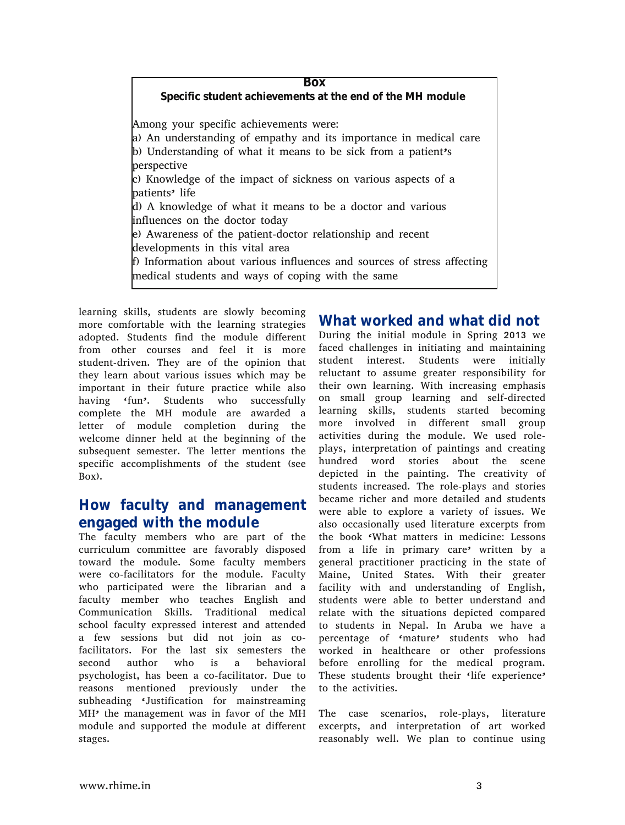**Box Specific student achievements at the end of the MH module** Among your specific achievements were: a) An understanding of empathy and its importance in medical care b) Understanding of what it means to be sick from a patient's perspective c) Knowledge of the impact of sickness on various aspects of a patients' life d) A knowledge of what it means to be a doctor and various influences on the doctor today e) Awareness of the patient-doctor relationship and recent developments in this vital area f) Information about various influences and sources of stress affecting medical students and ways of coping with the same

learning skills, students are slowly becoming more comfortable with the learning strategies adopted. Students find the module different from other courses and feel it is more student-driven. They are of the opinion that they learn about various issues which may be important in their future practice while also having 'fun'. Students who successfully complete the MH module are awarded a letter of module completion during the welcome dinner held at the beginning of the subsequent semester. The letter mentions the specific accomplishments of the student (see Box).

#### **How faculty and management engaged with the module**

The faculty members who are part of the curriculum committee are favorably disposed toward the module. Some faculty members were co-facilitators for the module. Faculty who participated were the librarian and a faculty member who teaches English and Communication Skills. Traditional medical school faculty expressed interest and attended a few sessions but did not join as cofacilitators. For the last six semesters the second author who is a behavioral psychologist, has been a co-facilitator. Due to reasons mentioned previously under the subheading 'Justification for mainstreaming MH' the management was in favor of the MH module and supported the module at different stages.

### **What worked and what did not**

During the initial module in Spring 2013 we faced challenges in initiating and maintaining student interest. Students were initially reluctant to assume greater responsibility for their own learning. With increasing emphasis on small group learning and self-directed learning skills, students started becoming more involved in different small group activities during the module. We used roleplays, interpretation of paintings and creating hundred word stories about the scene depicted in the painting. The creativity of students increased. The role-plays and stories became richer and more detailed and students were able to explore a variety of issues. We also occasionally used literature excerpts from the book 'What matters in medicine: Lessons from a life in primary care' written by a general practitioner practicing in the state of Maine, United States. With their greater facility with and understanding of English, students were able to better understand and relate with the situations depicted compared to students in Nepal. In Aruba we have a percentage of 'mature' students who had worked in healthcare or other professions before enrolling for the medical program. These students brought their 'life experience' to the activities.

The case scenarios, role-plays, literature excerpts, and interpretation of art worked reasonably well. We plan to continue using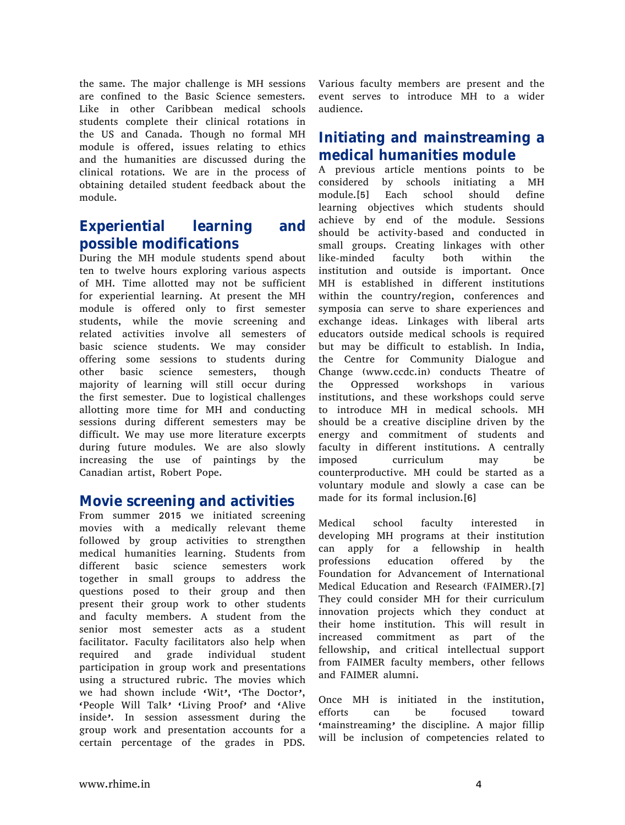the same. The major challenge is MH sessions are confined to the Basic Science semesters. Like in other Caribbean medical schools students complete their clinical rotations in the US and Canada. Though no formal MH module is offered, issues relating to ethics and the humanities are discussed during the clinical rotations. We are in the process of obtaining detailed student feedback about the module.

#### **Experiential learning and possible modifications**

During the MH module students spend about ten to twelve hours exploring various aspects of MH. Time allotted may not be sufficient for experiential learning. At present the MH module is offered only to first semester students, while the movie screening and related activities involve all semesters of basic science students. We may consider offering some sessions to students during other basic science semesters, though majority of learning will still occur during the first semester. Due to logistical challenges allotting more time for MH and conducting sessions during different semesters may be difficult. We may use more literature excerpts during future modules. We are also slowly increasing the use of paintings by the Canadian artist, Robert Pope.

#### **Movie screening and activities**

From summer 2015 we initiated screening movies with a medically relevant theme followed by group activities to strengthen medical humanities learning. Students from different basic science semesters work together in small groups to address the questions posed to their group and then present their group work to other students and faculty members. A student from the senior most semester acts as a student facilitator. Faculty facilitators also help when required and grade individual student participation in group work and presentations using a structured rubric. The movies which we had shown include 'Wit', 'The Doctor', 'People Will Talk' 'Living Proof' and 'Alive inside'. In session assessment during the group work and presentation accounts for a certain percentage of the grades in PDS.

Various faculty members are present and the event serves to introduce MH to a wider audience.

### **Initiating and mainstreaming a medical humanities module**

A previous article mentions points to be considered by schools initiating a MH module.[5] Each school should define learning objectives which students should achieve by end of the module. Sessions should be activity-based and conducted in small groups. Creating linkages with other like-minded faculty both within the institution and outside is important. Once MH is established in different institutions within the country/region, conferences and symposia can serve to share experiences and exchange ideas. Linkages with liberal arts educators outside medical schools is required but may be difficult to establish. In India, the Centre for Community Dialogue and Change (www.ccdc.in) conducts Theatre of the Oppressed workshops in various institutions, and these workshops could serve to introduce MH in medical schools. MH should be a creative discipline driven by the energy and commitment of students and faculty in different institutions. A centrally imposed curriculum may be counterproductive. MH could be started as a voluntary module and slowly a case can be made for its formal inclusion.[6]

Medical school faculty interested in developing MH programs at their institution can apply for a fellowship in health professions education offered by the Foundation for Advancement of International Medical Education and Research (FAIMER).[7] They could consider MH for their curriculum innovation projects which they conduct at their home institution. This will result in increased commitment as part of the fellowship, and critical intellectual support from FAIMER faculty members, other fellows and FAIMER alumni.

Once MH is initiated in the institution, efforts can be focused toward 'mainstreaming' the discipline. A major fillip will be inclusion of competencies related to